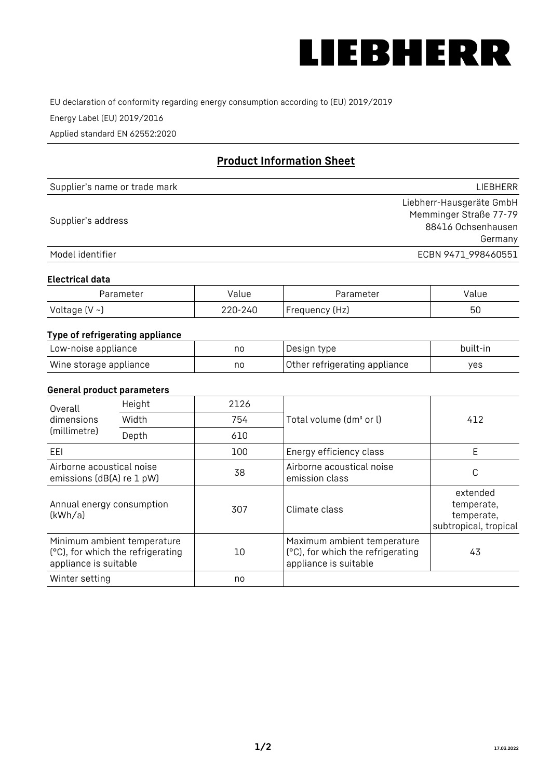

EU declaration of conformity regarding energy consumption according to (EU) 2019/2019

Energy Label (EU) 2019/2016

Applied standard EN 62552:2020

# **Product Information Sheet**

| Supplier's name or trade mark | <b>LIFBHFRR</b>          |
|-------------------------------|--------------------------|
|                               | Liebherr-Hausgeräte GmbH |
| Supplier's address            | Memminger Straße 77-79   |
|                               | 88416 Ochsenhausen       |
|                               | Germany                  |
| Model identifier              | ECBN 9471 998460551      |

#### **Electrical data**

| Parameter           | Value   | Parameter      | Value |
|---------------------|---------|----------------|-------|
| Voltage (V $\sim$ ) | 220-240 | Frequency (Hz) | 50    |

## **Type of refrigerating appliance**

| Low-noise appliance    | no | Design type                   | built-in |
|------------------------|----|-------------------------------|----------|
| Wine storage appliance | no | Other refrigerating appliance | ves      |

#### **General product parameters**

| Height<br>Overall<br>dimensions<br>Width<br>(millimetre)<br>Depth |                                                                  | 2126 |                                                                                           | 412                                                           |
|-------------------------------------------------------------------|------------------------------------------------------------------|------|-------------------------------------------------------------------------------------------|---------------------------------------------------------------|
|                                                                   |                                                                  | 754  | Total volume (dm <sup>3</sup> or l)                                                       |                                                               |
|                                                                   |                                                                  | 610  |                                                                                           |                                                               |
| EEL                                                               |                                                                  | 100  | Energy efficiency class                                                                   | E                                                             |
| Airborne acoustical noise<br>emissions (dB(A) re 1 pW)            |                                                                  | 38   | Airborne acoustical noise<br>emission class                                               | С                                                             |
| Annual energy consumption<br>(kWh/a)                              |                                                                  | 307  | Climate class                                                                             | extended<br>temperate,<br>temperate,<br>subtropical, tropical |
| appliance is suitable                                             | Minimum ambient temperature<br>(°C), for which the refrigerating | 10   | Maximum ambient temperature<br>(°C), for which the refrigerating<br>appliance is suitable | 43                                                            |
| Winter setting                                                    |                                                                  | no   |                                                                                           |                                                               |